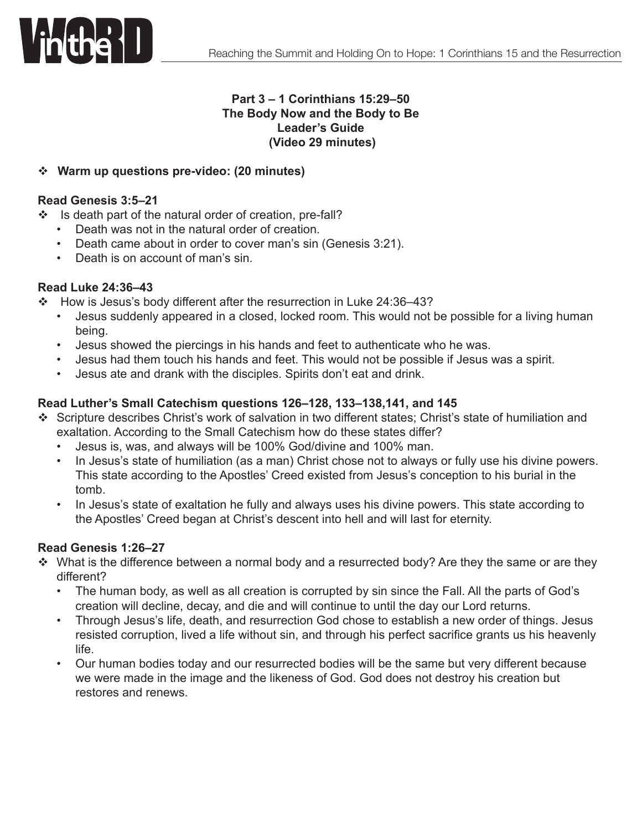

### **Part 3 – 1 Corinthians 15:29–50 The Body Now and the Body to Be Leader's Guide (Video 29 minutes)**

# v **Warm up questions pre-video: (20 minutes)**

#### **Read Genesis 3:5–21**

- \* Is death part of the natural order of creation, pre-fall?
	- • Death was not in the natural order of creation.
	- Death came about in order to cover man's sin (Genesis 3:21).
	- Death is on account of man's sin.

#### **Read Luke 24:36–43**

- $\div$  How is Jesus's body different after the resurrection in Luke 24:36-43?
	- Jesus suddenly appeared in a closed, locked room. This would not be possible for a living human being.
	- Jesus showed the piercings in his hands and feet to authenticate who he was.
	- Jesus had them touch his hands and feet. This would not be possible if Jesus was a spirit.
	- Jesus ate and drank with the disciples. Spirits don't eat and drink.

### **Read Luther's Small Catechism questions 126–128, 133–138,141, and 145**

- v Scripture describes Christ's work of salvation in two different states; Christ's state of humiliation and exaltation. According to the Small Catechism how do these states differ?
	- Jesus is, was, and always will be 100% God/divine and 100% man.
	- In Jesus's state of humiliation (as a man) Christ chose not to always or fully use his divine powers. This state according to the Apostles' Creed existed from Jesus's conception to his burial in the tomb.
	- In Jesus's state of exaltation he fully and always uses his divine powers. This state according to the Apostles' Creed began at Christ's descent into hell and will last for eternity.

### **Read Genesis 1:26–27**

- $\cdot$  What is the difference between a normal body and a resurrected body? Are they the same or are they different?
	- The human body, as well as all creation is corrupted by sin since the Fall. All the parts of God's creation will decline, decay, and die and will continue to until the day our Lord returns.
	- Through Jesus's life, death, and resurrection God chose to establish a new order of things. Jesus resisted corruption, lived a life without sin, and through his perfect sacrifice grants us his heavenly life.
	- Our human bodies today and our resurrected bodies will be the same but very different because we were made in the image and the likeness of God. God does not destroy his creation but restores and renews.